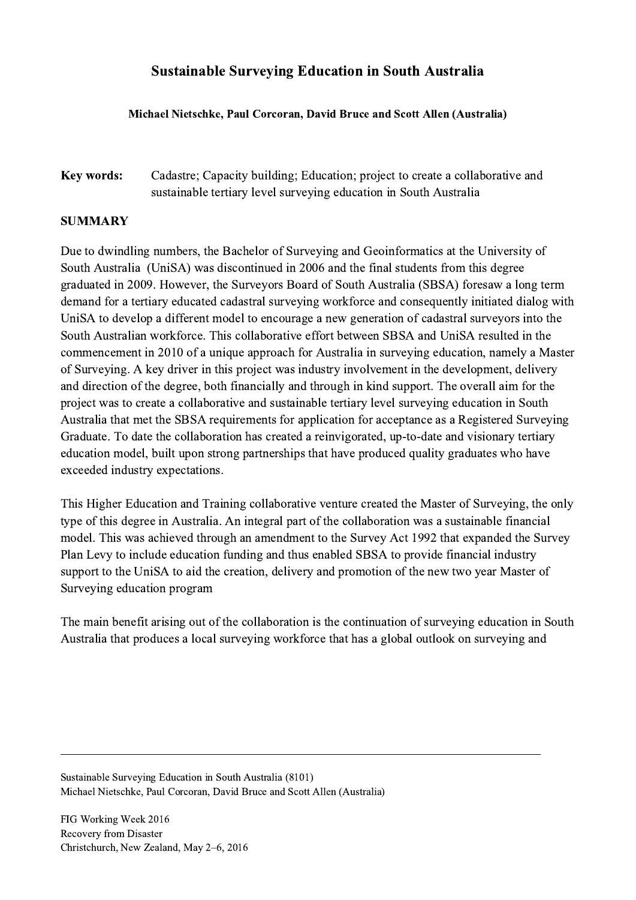## Sustainable Surveying Education in South Australia

## Michael Nietschke, Paul Corcoran, David Bruce and Scott Allen (Australia)

Key words: Cadastre; Capacity building; Education; project to create a collaborative and sustainable tertiary level surveying education in South Australia

## SUMMARY

Due to dwindling numbers, the Bachelor of Surveying and Geoinformatics at the University of South Australia (UniSA) was discontinued in 2006 and the final students from this degree graduated in 2009. However, the Surveyors Board of South Australia (SBSA) foresaw a long term demand for a tertiary educated cadastral surveying workforce and consequently initiated dialog with UniSA to develop a different model to encourage a new generation of cadastral surveyors into the South Australian workforce. This collaborative effort between SBSA and UniSA resulted in the commencement in 2010 of a unique approach for Australia in surveying education, namely a Master of Surveying. A key driver in this project was industry involvement in the development, delivery and direction of the degree, both financially and through in kind support. The overall aim for the project was to create a collaborative and sustainable tertiary level surveying education in South Australia that met the SBSA requirements for application for acceptance as a Registered Surveying Graduate. To date the collaboration has created a reinvigorated, up-to-date and visionary tertiary education model, built upon strong partnerships that have produced quality graduates who have exceeded industry expectations.

This Higher Education and Training collaborative venture created the Master of Surveying, the only type of this degree in Australia. An integral part of the collaboration was a sustainable financial model. This was achieved through an amendment to the Survey Act 1992 that expanded the Survey Plan Levy to include education funding and thus enabled SBSA to provide financial industry support to the UniSA to aid the creation, delivery and promotion of the new two year Master of Surveying education program

The main benefit arising out of the collaboration is the continuation of surveying education in South Australia that produces a local surveying workforce that has a global outlook on surveying and

 $\mathcal{L}_\mathcal{L} = \{ \mathcal{L}_\mathcal{L} = \{ \mathcal{L}_\mathcal{L} = \{ \mathcal{L}_\mathcal{L} = \{ \mathcal{L}_\mathcal{L} = \{ \mathcal{L}_\mathcal{L} = \{ \mathcal{L}_\mathcal{L} = \{ \mathcal{L}_\mathcal{L} = \{ \mathcal{L}_\mathcal{L} = \{ \mathcal{L}_\mathcal{L} = \{ \mathcal{L}_\mathcal{L} = \{ \mathcal{L}_\mathcal{L} = \{ \mathcal{L}_\mathcal{L} = \{ \mathcal{L}_\mathcal{L} = \{ \mathcal{L}_\mathcal{$ 

Sustainable Surveying Education in South Australia (8101) Michael Nietschke, Paul Corcoran, David Bruce and Scott Allen (Australia)

FIG Working Week 2016 Recovery from Disaster Christchurch, New Zealand, May 2–6, 2016